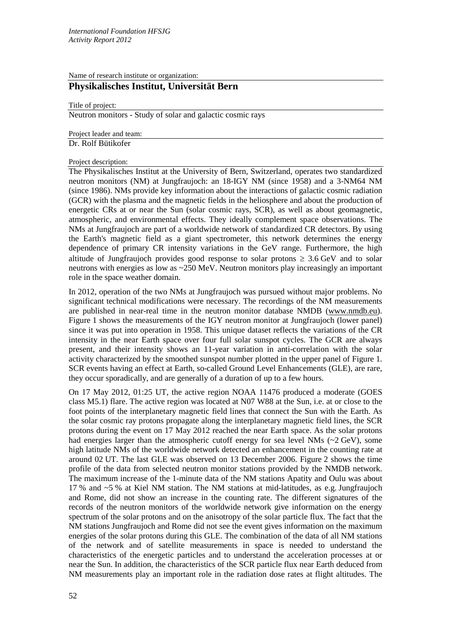Name of research institute or organization:

# **Physikalisches Institut, Universität Bern**

#### Title of project:

Neutron monitors - Study of solar and galactic cosmic rays

Project leader and team: Dr. Rolf Bütikofer

### Project description:

The Physikalisches Institut at the University of Bern, Switzerland, operates two standardized neutron monitors (NM) at Jungfraujoch: an 18-IGY NM (since 1958) and a 3-NM64 NM (since 1986). NMs provide key information about the interactions of galactic cosmic radiation (GCR) with the plasma and the magnetic fields in the heliosphere and about the production of energetic CRs at or near the Sun (solar cosmic rays, SCR), as well as about geomagnetic, atmospheric, and environmental effects. They ideally complement space observations. The NMs at Jungfraujoch are part of a worldwide network of standardized CR detectors. By using the Earth's magnetic field as a giant spectrometer, this network determines the energy dependence of primary CR intensity variations in the GeV range. Furthermore, the high altitude of Jungfraujoch provides good response to solar protons  $\geq 3.6$  GeV and to solar neutrons with energies as low as ~250 MeV. Neutron monitors play increasingly an important role in the space weather domain.

In 2012, operation of the two NMs at Jungfraujoch was pursued without major problems. No significant technical modifications were necessary. The recordings of the NM measurements are published in near-real time in the neutron monitor database NMDB [\(www.nmdb.eu\)](http://www.nmdb.eu/). Figure 1 shows the measurements of the IGY neutron monitor at Jungfraujoch (lower panel) since it was put into operation in 1958. This unique dataset reflects the variations of the CR intensity in the near Earth space over four full solar sunspot cycles. The GCR are always present, and their intensity shows an 11-year variation in anti-correlation with the solar activity characterized by the smoothed sunspot number plotted in the upper panel of Figure 1. SCR events having an effect at Earth, so-called Ground Level Enhancements (GLE), are rare, they occur sporadically, and are generally of a duration of up to a few hours.

On 17 May 2012, 01:25 UT, the active region NOAA 11476 produced a moderate (GOES class M5.1) flare. The active region was located at N07 W88 at the Sun, i.e. at or close to the foot points of the interplanetary magnetic field lines that connect the Sun with the Earth. As the solar cosmic ray protons propagate along the interplanetary magnetic field lines, the SCR protons during the event on 17 May 2012 reached the near Earth space. As the solar protons had energies larger than the atmospheric cutoff energy for sea level NMs  $(\sim 2 \text{ GeV})$ , some high latitude NMs of the worldwide network detected an enhancement in the counting rate at around 02 UT. The last GLE was observed on 13 December 2006. Figure 2 shows the time profile of the data from selected neutron monitor stations provided by the NMDB network. The maximum increase of the 1-minute data of the NM stations Apatity and Oulu was about 17 % and ~5 % at Kiel NM station. The NM stations at mid-latitudes, as e.g. Jungfraujoch and Rome, did not show an increase in the counting rate. The different signatures of the records of the neutron monitors of the worldwide network give information on the energy spectrum of the solar protons and on the anisotropy of the solar particle flux. The fact that the NM stations Jungfraujoch and Rome did not see the event gives information on the maximum energies of the solar protons during this GLE. The combination of the data of all NM stations of the network and of satellite measurements in space is needed to understand the characteristics of the energetic particles and to understand the acceleration processes at or near the Sun. In addition, the characteristics of the SCR particle flux near Earth deduced from NM measurements play an important role in the radiation dose rates at flight altitudes. The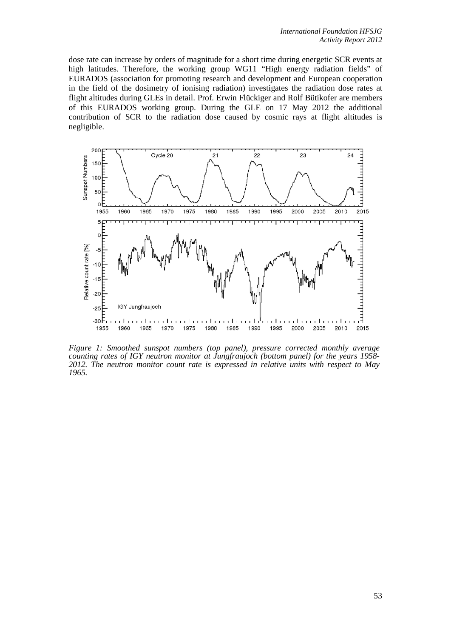dose rate can increase by orders of magnitude for a short time during energetic SCR events at high latitudes. Therefore, the working group WG11 "High energy radiation fields" of EURADOS (association for promoting research and development and European cooperation in the field of the dosimetry of ionising radiation) investigates the radiation dose rates at flight altitudes during GLEs in detail. Prof. Erwin Flückiger and Rolf Bütikofer are members of this EURADOS working group. During the GLE on 17 May 2012 the additional contribution of SCR to the radiation dose caused by cosmic rays at flight altitudes is negligible.



*Figure 1: Smoothed sunspot numbers (top panel), pressure corrected monthly average counting rates of IGY neutron monitor at Jungfraujoch (bottom panel) for the years 1958-*2012. The neutron monitor count rate is expressed in relative units with respect to May *1965.*